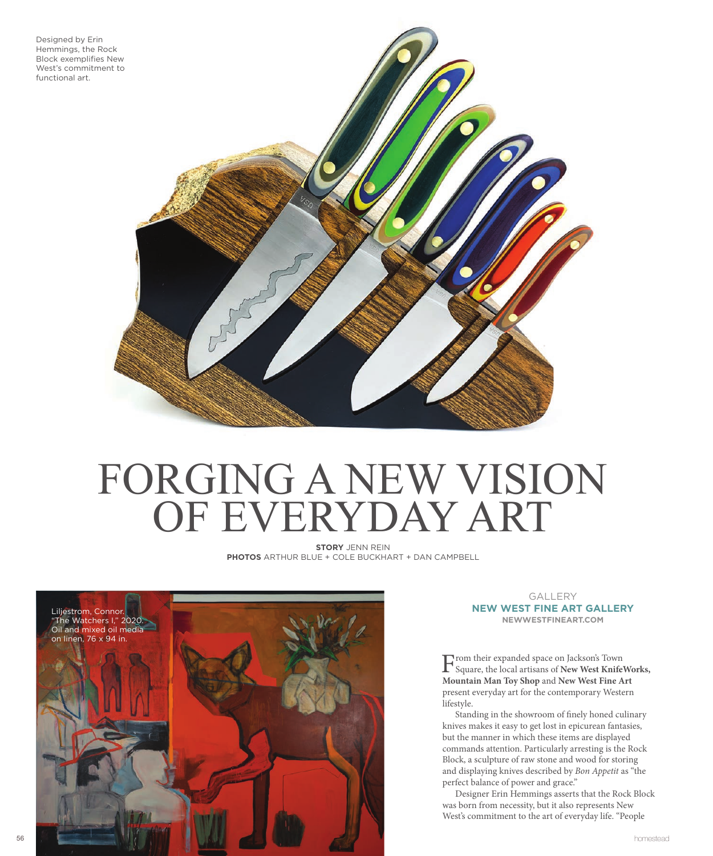

## FORGING A NEW VISION OF EVERYDAY ART

**STORY** JENN REIN **PHOTOS** ARTHUR BLUE + COLE BUCKHART + DAN CAMPBELL



GALLERY **NEW WEST FINE ART GALLERY NEWWESTFINEART.COM**

From their expanded space on Jackson's Town Square, the local artisans of **New West KnifeWorks, Mountain Man Toy Shop** and **New West Fine Art** present everyday art for the contemporary Western lifestyle.

Standing in the showroom of finely honed culinary knives makes it easy to get lost in epicurean fantasies, but the manner in which these items are displayed commands attention. Particularly arresting is the Rock Block, a sculpture of raw stone and wood for storing and displaying knives described by *Bon Appetit* as "the perfect balance of power and grace."

Designer Erin Hemmings asserts that the Rock Block was born from necessity, but it also represents New West's commitment to the art of everyday life. "People